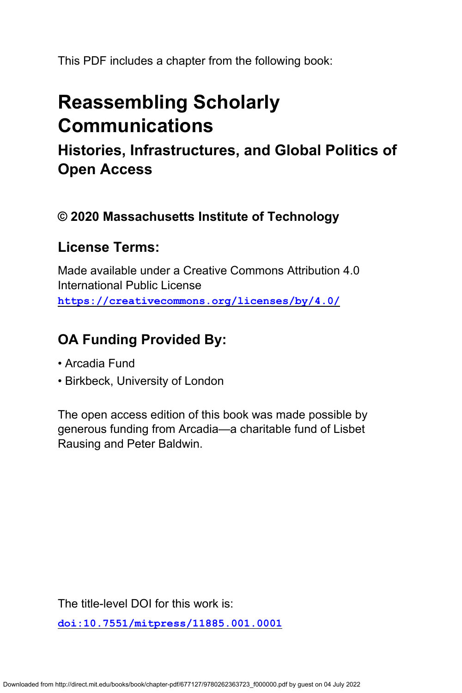This PDF includes a chapter from the following book:

# **Reassembling Scholarly Communications**

**Histories, Infrastructures, and Global Politics of Open Access**

### **© 2020 Massachusetts Institute of Technology**

### **License Terms:**

Made available under a Creative Commons Attribution 4.0 International Public License **<https://creativecommons.org/licenses/by/4.0/>**

## **OA Funding Provided By:**

- Arcadia Fund
- Birkbeck, University of London

The open access edition of this book was made possible by generous funding from Arcadia—a charitable fund of Lisbet Rausing and Peter Baldwin.

The title-level DOI for this work is:

**[doi:10.7551/mitpress/11885.001.0001](https://doi.org/10.7551/mitpress/11885.001.0001)**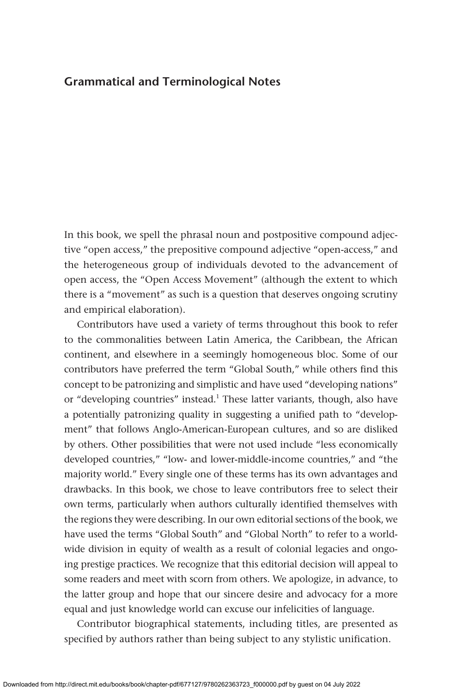#### **Grammatical and Terminological Notes**

In this book, we spell the phrasal noun and postpositive compound adjective "open access," the prepositive compound adjective "open-access," and the heterogeneous group of individuals devoted to the advancement of open access, the "Open Access Movement" (although the extent to which there is a "movement" as such is a question that deserves ongoing scrutiny and empirical elaboration).

Contributors have used a variety of terms throughout this book to refer to the commonalities between Latin America, the Caribbean, the African continent, and elsewhere in a seemingly homogeneous bloc. Some of our contributors have preferred the term "Global South," while others find this concept to be patronizing and simplistic and have used "developing nations" or "developing countries" instead.<sup>1</sup> These latter variants, though, also have a potentially patronizing quality in suggesting a unified path to "development" that follows Anglo-American-European cultures, and so are disliked by others. Other possibilities that were not used include "less economically developed countries," "low- and lower-middle-income countries," and "the majority world." Every single one of these terms has its own advantages and drawbacks. In this book, we chose to leave contributors free to select their own terms, particularly when authors culturally identified themselves with the regions they were describing. In our own editorial sections of the book, we have used the terms "Global South" and "Global North" to refer to a worldwide division in equity of wealth as a result of colonial legacies and ongoing prestige practices. We recognize that this editorial decision will appeal to some readers and meet with scorn from others. We apologize, in advance, to the latter group and hope that our sincere desire and advocacy for a more equal and just knowledge world can excuse our infelicities of language.

Contributor biographical statements, including titles, are presented as specified by authors rather than being subject to any stylistic unification.